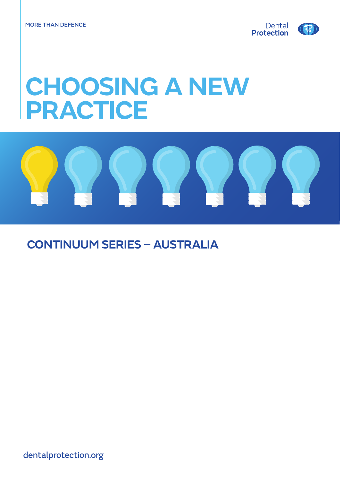

# **CHOOSING A NEW PRACTICE**



## **CONTINUUM SERIES – AUSTRALIA**

dentalprotection.org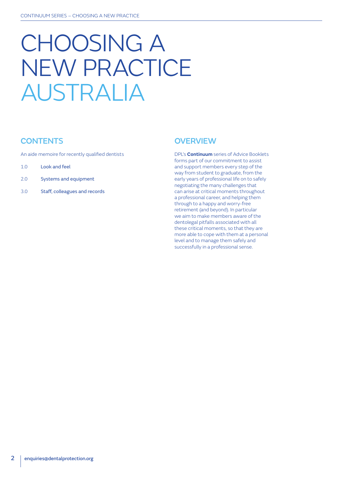# CHOOSING A NEW PRACTICE AUSTRALIA

## **CONTENTS**

An aide memoire for recently qualified dentists

- 1.0 Look and feel
- 2.0 Systems and equipment
- 3.0 Staff, colleagues and records

## **OVERVIEW**

DPL's **Continuum** series of Advice Booklets forms part of our commitment to assist and support members every step of the way from student to graduate, from the early years of professional life on to safely negotiating the many challenges that can arise at critical moments throughout a professional career, and helping them through to a happy and worry-free retirement (and beyond). In particular we aim to make members aware of the dentolegal pitfalls associated with all these critical moments, so that they are more able to cope with them at a personal level and to manage them safely and successfully in a professional sense.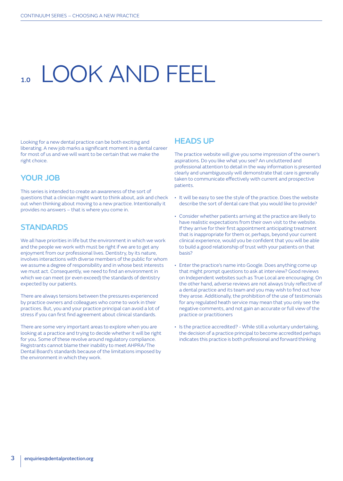## 1.00K AND FFFL

Looking for a new dental practice can be both exciting and liberating. A new job marks a significant moment in a dental career for most of us and we will want to be certain that we make the right choice.

## YOUR JOB

This series is intended to create an awareness of the sort of questions that a clinician might want to think about, ask and check out when thinking about moving to a new practice. Intentionally it provides no answers – that is where you come in.

## **STANDARDS**

We all have priorities in life but the environment in which we work and the people we work with must be right if we are to get any enjoyment from our professional lives. Dentistry, by its nature, involves interactions with diverse members of the public for whom we assume a degree of responsibility and in whose best interests we must act. Consequently, we need to find an environment in which we can meet (or even exceed) the standards of dentistry expected by our patients.

There are always tensions between the pressures experienced by practice owners and colleagues who come to work in their practices. But, you and your practice principal can avoid a lot of stress if you can first find agreement about clinical standards.

There are some very important areas to explore when you are looking at a practice and trying to decide whether it will be right for you. Some of these revolve around regulatory compliance. Registrants cannot blame their inability to meet AHPRA/The Dental Board's standards because of the limitations imposed by the environment in which they work.

## HEADS UP

The practice website will give you some impression of the owner's aspirations. Do you like what you see? An uncluttered and professional attention to detail in the way information is presented clearly and unambiguously will demonstrate that care is generally taken to communicate effectively with current and prospective patients.

- It will be easy to see the style of the practice. Does the website describe the sort of dental care that you would like to provide?
- Consider whether patients arriving at the practice are likely to have realistic expectations from their own visit to the website. If they arrive for their first appointment anticipating treatment that is inappropriate for them or, perhaps, beyond your current clinical experience, would you be confident that you will be able to build a good relationship of trust with your patients on that basis?
- Enter the practice's name into Google. Does anything come up that might prompt questions to ask at interview? Good reviews on Independent websites such as True Local are encouraging. On the other hand, adverse reviews are not always truly reflective of a dental practice and its team and you may wish to find out how they arose. Additionally, the prohibition of the use of testimonials for any regulated heath service may mean that you only see the negative comments, and not gain an accurate or full view of the practice or practitioners
- Is the practice accredited? While still a voluntary undertaking, the decision of a practice principal to become accredited perhaps indicates this practice is both professional and forward thinking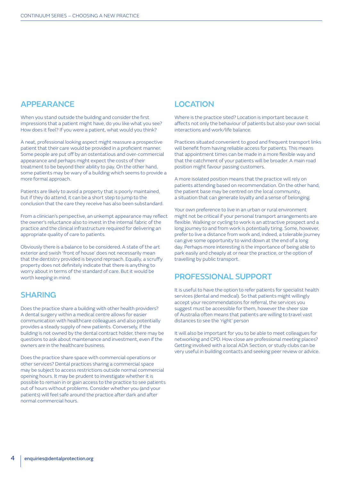## APPEARANCE

When you stand outside the building and consider the first impressions that a patient might have, do you like what you see? How does it feel? If you were a patient, what would you think?

A neat, professional looking aspect might reassure a prospective patient that their care would be provided in a proficient manner. Some people are put off by an ostentatious and over-commercial appearance and perhaps might expect the costs of their treatment to be beyond their ability to pay. On the other hand, some patients may be wary of a building which seems to provide a more formal approach.

Patients are likely to avoid a property that is poorly maintained, but if they do attend, it can be a short step to jump to the conclusion that the care they receive has also been substandard.

From a clinician's perspective, an unkempt appearance may reflect the owner's reluctance also to invest in the internal fabric of the practice and the clinical infrastructure required for delivering an appropriate quality of care to patients.

Obviously there is a balance to be considered. A state of the art exterior and swish 'front of house' does not necessarily mean that the dentistry provided is beyond reproach. Equally, a scruffy property does not definitely indicate that there is anything to worry about in terms of the standard of care. But it would be worth keeping in mind.

## SHARING

Does the practice share a building with other health providers? A dental surgery within a medical centre allows for easier communication with healthcare colleagues and also potentially provides a steady supply of new patients. Conversely, if the building is not owned by the dental contract holder, there may be questions to ask about maintenance and investment, even if the owners are in the healthcare business.

Does the practice share space with commercial operations or other services? Dental practices sharing a commercial space may be subject to access restrictions outside normal commercial opening hours. It may be prudent to investigate whether it is possible to remain in or gain access to the practice to see patients out of hours without problems. Consider whether you (and your patients) will feel safe around the practice after dark and after normal commercial hours.

## **LOCATION**

Where is the practice sited? Location is important because it affects not only the behaviour of patients but also your own social interactions and work/life balance.

Practices situated convenient to good and frequent transport links will benefit from having reliable access for patients. This means that appointment times can be made in a more flexible way and that the catchment of your patients will be broader. A main road position might favour passing customers.

A more isolated position means that the practice will rely on patients attending based on recommendation. On the other hand, the patient base may be centred on the local community, a situation that can generate loyalty and a sense of belonging.

Your own preference to live in an urban or rural environment might not be critical if your personal transport arrangements are flexible. Walking or cycling to work is an attractive prospect and a long journey to and from work is potentially tiring. Some, however, prefer to live a distance from work and, indeed, a tolerable journey can give some opportunity to wind down at the end of a long day. Perhaps more interesting is the importance of being able to park easily and cheaply at or near the practice, or the option of travelling by public transport.

## PROFESSIONAL SUPPORT

It is useful to have the option to refer patients for specialist health services (dental and medical). So that patients might willingly accept your recommendations for referral, the services you suggest must be accessible for them, however the sheer size of Australia often means that patients are willing to travel vast distances to see the 'right' person

It will also be important for you to be able to meet colleagues for networking and CPD. How close are professional meeting places? Getting involved with a local ADA Section, or study clubs can be very useful in building contacts and seeking peer review or advice.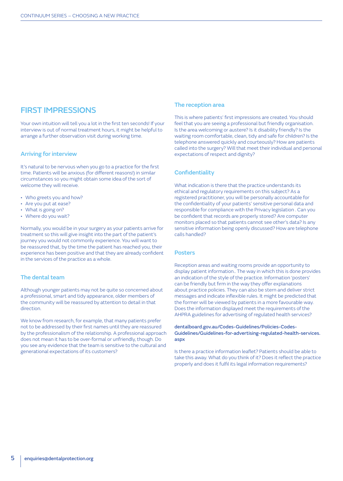## FIRST IMPRESSIONS

Your own intuition will tell you a lot in the first ten seconds! If your interview is out of normal treatment hours, it might be helpful to arrange a further observation visit during working time.

#### Arriving for interview

It's natural to be nervous when you go to a practice for the first time. Patients will be anxious (for different reasons!) in similar circumstances so you might obtain some idea of the sort of welcome they will receive.

- Who greets you and how?
- Are you put at ease?
- What is going on?
- Where do you wait?

Normally, you would be in your surgery as your patients arrive for treatment so this will give insight into the part of the patient's journey you would not commonly experience. You will want to be reassured that, by the time the patient has reached you, their experience has been positive and that they are already confident in the services of the practice as a whole.

#### The dental team

Although younger patients may not be quite so concerned about a professional, smart and tidy appearance, older members of the community will be reassured by attention to detail in that direction.

We know from research, for example, that many patients prefer not to be addressed by their first names until they are reassured by the professionalism of the relationship. A professional approach does not mean it has to be over-formal or unfriendly, though. Do you see any evidence that the team is sensitive to the cultural and generational expectations of its customers?

#### The reception area

This is where patients' first impressions are created. You should feel that you are seeing a professional but friendly organisation. Is the area welcoming or austere? Is it disability friendly? Is the waiting room comfortable, clean, tidy and safe for children? Is the telephone answered quickly and courteously? How are patients called into the surgery? Will that meet their individual and personal expectations of respect and dignity?

#### **Confidentiality**

What indication is there that the practice understands its ethical and regulatory requirements on this subject? As a registered practitioner, you will be personally accountable for the confidentiality of your patients' sensitive personal data and responsible for compliance with the Privacy legislation . Can you be confident that records are properly stored? Are computer monitors placed so that patients cannot see other's data? Is any sensitive information being openly discussed? How are telephone calls handled?

#### **Posters**

Reception areas and waiting rooms provide an opportunity to display patient information.. The way in which this is done provides an indication of the style of the practice. Information 'posters' can be friendly but firm in the way they offer explanations about practice policies. They can also be stern and deliver strict messages and indicate inflexible rules. It might be predicted that the former will be viewed by patients in a more favourable way. Does the information displayed meet the requirements of the AHPRA guidelines for advertising of regulated health services?

dentalboard.gov.au/Codes-Guidelines/Policies-Codes-Guidelines/Guidelines-for-advertising-regulated-health-services. aspx

Is there a practice information leaflet? Patients should be able to take this away. What do you think of it? Does it reflect the practice properly and does it fulfil its legal information requirements?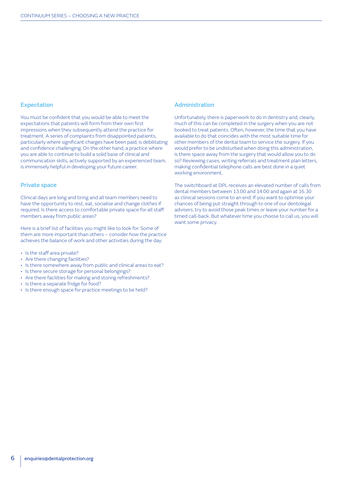#### Expectation

You must be confident that you would be able to meet the expectations that patients will form from their own first impressions when they subsequently attend the practice for treatment. A series of complaints from disappointed patients, particularly where significant charges have been paid, is debilitating and confidence challenging. On the other hand, a practice where you are able to continue to build a solid base of clinical and communication skills, actively supported by an experienced team, is immensely helpful in developing your future career.

#### Private space

Clinical days are long and tiring and all team members need to have the opportunity to rest, eat, socialise and change clothes if required. Is there access to comfortable private space for all staff members away from public areas?

Here is a brief list of facilities you might like to look for. Some of them are more important than others – consider how the practice achieves the balance of work and other activities during the day:

- Is the staff area private?
- Are there changing facilities?
- Is there somewhere away from public and clinical areas to eat?
- Is there secure storage for personal belongings?
- Are there facilities for making and storing refreshments?
- Is there a separate fridge for food?
- Is there enough space for practice meetings to be held?

#### Administration

Unfortunately, there is paperwork to do in dentistry and, clearly, much of this can be completed in the surgery when you are not booked to treat patients. Often, however, the time that you have available to do that coincides with the most suitable time for other members of the dental team to service the surgery. If you would prefer to be undisturbed when doing this administration, is there space away from the surgery that would allow you to do so? Reviewing cases, writing referrals and treatment plan letters, making confidential telephone calls are best done in a quiet working environment.

The switchboard at DPL receives an elevated number of calls from dental members between 13.00 and 14.00 and again at 16.30 as clinical sessions come to an end. If you want to optimise your chances of being put straight through to one of our dentolegal advisers, try to avoid those peak times or leave your number for a timed call-back. But whatever time you choose to call us, you will want some privacy.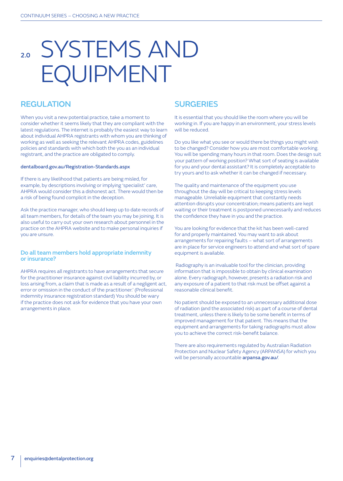# 2.0 SYSTEMS AND EQUIPMENT

## **REGULATION**

When you visit a new potential practice, take a moment to consider whether it seems likely that they are compliant with the latest regulations. The internet is probably the easiest way to learn about individual AHPRA registrants with whom you are thinking of working as well as seeking the relevant AHPRA codes, guidelines policies and standards with which both the you as an individual registrant, and the practice are obligated to comply.

#### dentalboard.gov.au/Registration-Standards.aspx

If there is any likelihood that patients are being misled, for example, by descriptions involving or implying 'specialist' care, AHPRA would consider this a dishonest act. There would then be a risk of being found complicit in the deception.

Ask the practice manager, who should keep up to date records of all team members, for details of the team you may be joining. It is also useful to carry out your own research about personnel in the practice on the AHPRA website and to make personal inquiries if you are unsure.

#### Do all team members hold appropriate indemnity or insurance?

AHPRA requires all registrants to have arrangements that secure for the practitioner insurance against civil liability incurred by, or loss arising from, a claim that is made as a result of a negligent act, error or omission in the conduct of the practitioner.' (Professional indemnity insurance registration standard) You should be wary if the practice does not ask for evidence that you have your own arrangements in place.

## **SURGERIES**

It is essential that you should like the room where you will be working in. If you are happy in an environment, your stress levels will be reduced.

Do you like what you see or would there be things you might wish to be changed? Consider how you are most comfortable working. You will be spending many hours in that room. Does the design suit your pattern of working position? What sort of seating is available for you and your dental assistant? It is completely acceptable to try yours and to ask whether it can be changed if necessary.

The quality and maintenance of the equipment you use throughout the day will be critical to keeping stress levels manageable. Unreliable equipment that constantly needs attention disrupts your concentration; means patients are kept waiting or their treatment is postponed unnecessarily and reduces the confidence they have in you and the practice.

You are looking for evidence that the kit has been well-cared for and properly maintained. You may want to ask about arrangements for repairing faults – what sort of arrangements are in place for service engineers to attend and what sort of spare equipment is available.

 Radiography is an invaluable tool for the clinician, providing information that is impossible to obtain by clinical examination alone. Every radiograph, however, presents a radiation risk and any exposure of a patient to that risk must be offset against a reasonable clinical benefit.

No patient should be exposed to an unnecessary additional dose of radiation (and the associated risk) as part of a course of dental treatment, unless there is likely to be some benefit in terms of improved management for that patient. This means that the equipment and arrangements for taking radiographs must allow you to achieve the correct risk-benefit balance.

There are also requirements regulated by Australian Radiation Protection and Nuclear Safety Agency (ARPANSA) for which you will be personally accountable arpansa.gov.au/.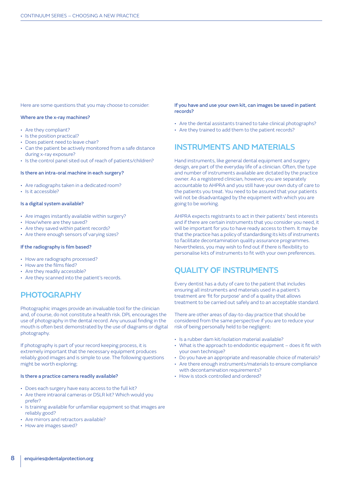Here are some questions that you may choose to consider:

#### Where are the x-ray machines?

- Are they compliant?
- Is the position practical?
- Does patient need to leave chair?
- Can the patient be actively monitored from a safe distance during x-ray exposure?
- Is the control panel sited out of reach of patients/children?

#### Is there an intra-oral machine in each surgery?

- Are radiographs taken in a dedicated room?
- Is it accessible?

#### Is a digital system available?

- Are images instantly available within surgery?
- How/where are they saved?
- Are they saved within patient records?
- Are there enough sensors of varying sizes?

#### If the radiography is film based?

- How are radiographs processed?
- How are the films filed?
- Are they readily accessible?
- Are they scanned into the patient's records.

## **PHOTOGRAPHY**

Photographic images provide an invaluable tool for the clinician and, of course, do not constitute a health risk. DPL encourages the use of photography in the dental record. Any unusual finding in the mouth is often best demonstrated by the use of diagrams or digital photography.

If photography is part of your record keeping process, it is extremely important that the necessary equipment produces reliably good images and is simple to use. The following questions might be worth exploring;

#### Is there a practice camera readily available?

- Does each surgery have easy access to the full kit?
- Are there intraoral cameras or DSLR kit? Which would you prefer?
- Is training available for unfamiliar equipment so that images are reliably good?
- Are mirrors and retractors available?
- How are images saved?

If you have and use your own kit, can images be saved in patient records?

- Are the dental assistants trained to take clinical photographs?
- Are they trained to add them to the patient records?

### INSTRUMENTS AND MATERIALS

Hand instruments, like general dental equipment and surgery design, are part of the everyday life of a clinician. Often, the type and number of instruments available are dictated by the practice owner. As a registered clinician, however, you are separately accountable to AHPRA and you still have your own duty of care to the patients you treat. You need to be assured that your patients will not be disadvantaged by the equipment with which you are going to be working.

AHPRA expects registrants to act in their patients' best interests and if there are certain instruments that you consider you need, it will be important for you to have ready access to them. It may be that the practice has a policy of standardising its kits of instruments to facilitate decontamination quality assurance programmes. Nevertheless, you may wish to find out if there is flexibility to personalise kits of instruments to fit with your own preferences.

### QUALITY OF INSTRUMENTS

Every dentist has a duty of care to the patient that includes ensuring all instruments and materials used in a patient's treatment are 'fit for purpose' and of a quality that allows treatment to be carried out safely and to an acceptable standard.

There are other areas of day-to-day practice that should be considered from the same perspective if you are to reduce your risk of being personally held to be negligent:

- Is a rubber dam kit/isolation material available?
- What is the approach to endodontic equipment does it fit with your own technique?
- Do you have an appropriate and reasonable choice of materials?
- Are there enough instruments/materials to ensure compliance with decontamination requirements?
- How is stock controlled and ordered?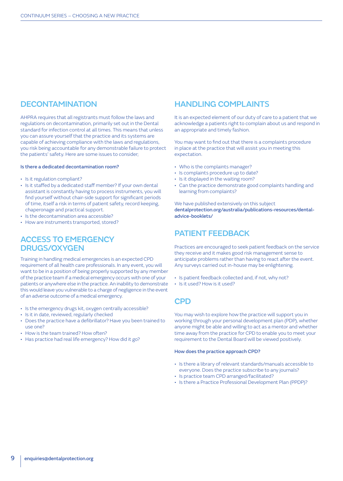## **DECONTAMINATION**

AHPRA requires that all registrants must follow the laws and regulations on decontamination, primarily set out in the Dental standard for infection control at all times. This means that unless you can assure yourself that the practice and its systems are capable of achieving compliance with the laws and regulations, you risk being accountable for any demonstrable failure to protect the patients' safety. Here are some issues to consider;

#### Is there a dedicated decontamination room?

- Is it regulation compliant?
- Is it staffed by a dedicated staff member? If your own dental assistant is constantly having to process instruments, you will find yourself without chair-side support for significant periods of time, itself a risk in terms of patient safety, record keeping, chaperonage and practical support.
- Is the decontamination area accessible?
- How are instruments transported, stored?

## ACCESS TO EMERGENCY DRUGS/OXYGEN

Training in handling medical emergencies is an expected CPD requirement of all health care professionals. In any event, you will want to be in a position of being properly supported by any member of the practice team if a medical emergency occurs with one of your patients or anywhere else in the practice. An inability to demonstrate this would leave you vulnerable to a charge of negligence in the event of an adverse outcome of a medical emergency.

- Is the emergency drugs kit, oxygen centrally accessible?
- Is it in date, reviewed, regularly checked
- Does the practice have a defibrillator? Have you been trained to use one?
- How is the team trained? How often?
- Has practice had real life emergency? How did it go?

## HANDLING COMPLAINTS

It is an expected element of our duty of care to a patient that we acknowledge a patients right to complain about us and respond in an appropriate and timely fashion.

You may want to find out that there is a complaints procedure in place at the practice that will assist you in meeting this expectation.

- Who is the complaints manager?
- Is complaints procedure up to date?
- Is it displayed in the waiting room?
- Can the practice demonstrate good complaints handling and learning from complaints?

We have published extensively on this subject dentalprotection.org/australia/publications-resources/dentaladvice-booklets/

### PATIENT FEEDBACK

Practices are encouraged to seek patient feedback on the service they receive and it makes good risk management sense to anticipate problems rather than having to react after the event. Any surveys carried out in-house may be enlightening.

- Is patient feedback collected and, if not, why not?
- Is it used? How is it used?

## **CPD**

You may wish to explore how the practice will support you in working through your personal development plan (PDP), whether anyone might be able and willing to act as a mentor and whether time away from the practice for CPD to enable you to meet your requirement to the Dental Board will be viewed positively.

#### How does the practice approach CPD?

- Is there a library of relevant standards/manuals accessible to everyone. Does the practice subscribe to any journals?
- Is practice team CPD arranged/facilitated?
- Is there a Practice Professional Development Plan (PPDP)?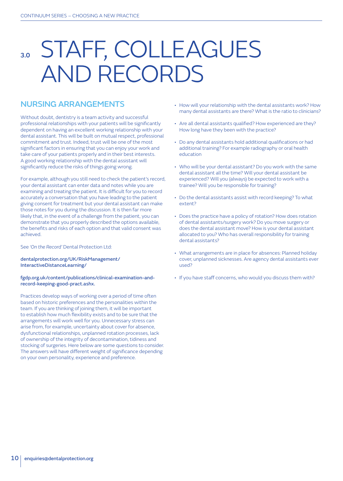## STAFF, COLLEAGUES AND RECORDS

## NURSING ARRANGEMENTS

Without doubt, dentistry is a team activity and successful professional relationships with your patients will be significantly dependent on having an excellent working relationship with your dental assistant. This will be built on mutual respect, professional commitment and trust. Indeed, trust will be one of the most significant factors in ensuring that you can enjoy your work and take care of your patients properly and in their best interests. A good working relationship with the dental assistant will significantly reduce the risks of things going wrong.

For example, although you still need to check the patient's record, your dental assistant can enter data and notes while you are examining and treating the patient. It is difficult for you to record accurately a conversation that you have leading to the patient giving consent for treatment but your dental assistant can make those notes for you during the discussion. It is then far more likely that, in the event of a challenge from the patient, you can demonstrate that you properly described the options available, the benefits and risks of each option and that valid consent was achieved.

#### See *'On the Record'* Dental Protection Ltd:

#### dentalprotection.org/UK/RiskManagement/ InteractiveDistanceLearning/

#### fgdp.org.uk/content/publications/clinical-examination-andrecord-keeping-good-pract.ashx.

Practices develop ways of working over a period of time often based on historic preferences and the personalities within the team. If you are thinking of joining them, it will be important to establish how much flexibility exists and to be sure that the arrangements will work well for you. Unnecessary stress can arise from, for example, uncertainty about cover for absence, dysfunctional relationships, unplanned rotation processes, lack of ownership of the integrity of decontamination, tidiness and stocking of surgeries. Here below are some questions to consider. The answers will have different weight of significance depending on your own personality, experience and preference.

- How will your relationship with the dental assistants work? How many dental assistants are there? What is the ratio to clinicians?
- Are all dental assistants qualified? How experienced are they? How long have they been with the practice?
- Do any dental assistants hold additional qualifications or had additional training? For example radiography or oral health education
- Who will be your dental assistant? Do you work with the same dental assistant all the time? Will your dental assistant be experienced? Will you (always) be expected to work with a trainee? Will you be responsible for training?
- Do the dental assistants assist with record keeping? To what extent?
- Does the practice have a policy of rotation? How does rotation of dental assistants/surgery work? Do you move surgery or does the dental assistant move? How is your dental assistant allocated to you? Who has overall responsibility for training dental assistants?
- What arrangements are in place for absences: Planned holiday cover, unplanned sicknesses. Are agency dental assistants ever used?
- If you have staff concerns, who would you discuss them with?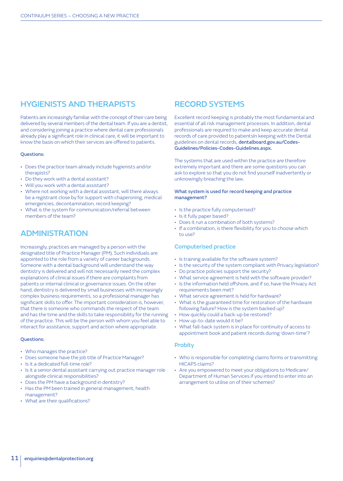## HYGIENISTS AND THERAPISTS

Patients are increasingly familiar with the concept of their care being delivered by several members of the dental team. If you are a dentist, and considering joining a practice where dental care professionals already play a significant role in clinical care, it will be important to know the basis on which their services are offered to patients.

#### Questions:

- Does the practice team already include hygienists and/or therapists?
- Do they work with a dental assistant?
- Will you work with a dental assistant?
- Where not working with a dental assistant, will there always be a registrant close by for support with chaperoning, medical emergencies, decontamination, record keeping?
- What is the system for communication/referral between members of the team?

## ADMINISTRATION

Increasingly, practices are managed by a person with the designated title of Practice Manager (PM). Such individuals are appointed to the role from a variety of career backgrounds. Someone with a dental background will understand the way dentistry is delivered and will not necessarily need the complex explanations of clinical issues if there are complaints from patients or internal clinical or governance issues. On the other hand, dentistry is delivered by small businesses with increasingly complex business requirements, so a professional manager has significant skills to offer. The important consideration is, however, that there is someone who commands the respect of the team and has the time and the skills to take responsibility for the running of the practice. This will be the person with whom you feel able to interact for assistance, support and action where appropriate.

#### Questions:

- Who manages the practice?
- Does someone have the job title of Practice Manager?
- Is it a dedicated full-time role?
- Is it a senior dental assistant carrying out practice manager role alongside clinical responsibilities?
- Does the PM have a background in dentistry?
- Has the PM been trained in general management, health management?
- What are their qualifications?

## RECORD SYSTEMS

Excellent record keeping is probably the most fundamental and essential of all risk management processes. In addition, dental professionals are required to make and keep accurate dental records of care provided to patientsIn keeping with the Dental guidelines on dental records, dentalboard.gov.au/Codes-Guidelines/Policies-Codes-Guidelines.aspx.

The systems that are used within the practice are therefore extremely important and there are some questions you can ask to explore so that you do not find yourself inadvertently or unknowingly breaching the law.

#### What system is used for record keeping and practice management?

- Is the practice fully computerised?
- Is it fully paper based?
- Does it run a combination of both systems?
- If a combination, is there flexibility for you to choose which to use?

#### Computerised practice

- Is training available for the software system?
- Is the security of the system compliant with Privacy legislation?
- Do practice policies support the security?
- What service agreement is held with the software provider?
- Is the information held offshore, and if so, have the Privacy Act requirements been met?
- What service agreement is held for hardware?
- What is the guaranteed time for restoration of the hardware following failure? How is the system backed up?
- How quickly could a back-up be restored?
- How up-to-date would it be?
- What fall-back system is in place for continuity of access to appointment book and patient records during 'down-time'?

#### **Probity**

- Who is responsible for completing claims forms or transmitting HICAPS claims?
- Are you empowered to meet your obligations to Medicare/ Department of Human Services if you intend to enter into an arrangement to utilise on of their schemes?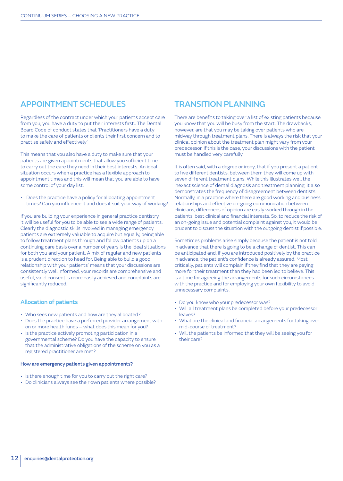## APPOINTMENT SCHEDULES

Regardless of the contract under which your patients accept care from you, you have a duty to put their interests first.. The Dental Board Code of conduct states that 'Practitioners have a duty to make the care of patients or clients their first concern and to practise safely and effectively'

This means that you also have a duty to make sure that your patients are given appointments that allow you sufficient time to carry out the care they need in their best interests. An ideal situation occurs when a practice has a flexible approach to appointment times and this will mean that you are able to have some control of your day list.

• Does the practice have a policy for allocating appointment times? Can you influence it and does it suit your way of working?

If you are building your experience in general practice dentistry, it will be useful for you to be able to see a wide range of patients. Clearly the diagnostic skills involved in managing emergency patients are extremely valuable to acquire but equally, being able to follow treatment plans through and follow patients up on a continuing care basis over a number of years is the ideal situations for both you and your patient. A mix of regular and new patients is a prudent direction to head for. Being able to build a good relationship with your patients' means that your discussions are consistently well informed, your records are comprehensive and useful, valid consent is more easily achieved and complaints are significantly reduced.

#### Allocation of patients

- Who sees new patients and how are they allocated?
- Does the practice have a preferred provider arrangement with on or more health funds – what does this mean for you?
- Is the practice actively promoting participation in a governmental scheme? Do you have the capacity to ensure that the administrative obligations of the scheme on you as a registered practitioner are met?

#### How are emergency patients given appointments?

- Is there enough time for you to carry out the right care?
- Do clinicians always see their own patients where possible?

## TRANSITION PLANNING

There are benefits to taking over a list of existing patients because you know that you will be busy from the start. The drawbacks, however, are that you may be taking over patients who are midway through treatment plans. There is always the risk that your clinical opinion about the treatment plan might vary from your predecessor. If this is the case, your discussions with the patient must be handled very carefully.

It is often said, with a degree or irony, that if you present a patient to five different dentists, between them they will come up with seven different treatment plans. While this illustrates well the inexact science of dental diagnosis and treatment planning, it also demonstrates the frequency of disagreement between dentists. Normally, in a practice where there are good working and business relationships and effective on-going communication between clinicians, differences of opinion are easily worked through in the patients' best clinical and financial interests. So, to reduce the risk of an on-going issue and potential complaint against you, it would be prudent to discuss the situation with the outgoing dentist if possible.

Sometimes problems arise simply because the patient is not told in advance that there is going to be a change of dentist. This can be anticipated and, if you are introduced positively by the practice in advance, the patient's confidence is already assured. Most critically, patients will complain if they find that they are paying more for their treatment than they had been led to believe. This is a time for agreeing the arrangements for such circumstances with the practice and for employing your own flexibility to avoid unnecessary complaints.

- Do you know who your predecessor was?
- Will all treatment plans be completed before your predecessor leaves?
- What are the clinical and financial arrangements for taking over mid-course of treatment?
- Will the patients be informed that they will be seeing you for their care?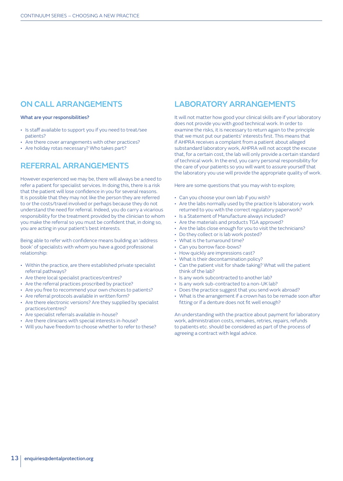## ON CALL ARRANGEMENTS

#### What are your responsibilities?

- Is staff available to support you if you need to treat/see patients?
- Are there cover arrangements with other practices?
- Are holiday rotas necessary? Who takes part?

## REFERRAL ARRANGEMENTS

However experienced we may be, there will always be a need to refer a patient for specialist services. In doing this, there is a risk that the patient will lose confidence in you for several reasons. It is possible that they may not like the person they are referred to or the costs/travel involved or perhaps because they do not understand the need for referral. Indeed, you do carry a vicarious responsibility for the treatment provided by the clinician to whom you make the referral so you must be confident that, in doing so, you are acting in your patient's best interests.

Being able to refer with confidence means building an 'address book' of specialists with whom you have a good professional relationship:

- Within the practice, are there established private specialist referral pathways?
- Are there local specialist practices/centres?
- Are the referral practices proscribed by practice?
- Are you free to recommend your own choices to patients?
- Are referral protocols available in written form?
- Are there electronic versions? Are they supplied by specialist practices/centres?
- Are specialist referrals available in-house?
- Are there clinicians with special interests in-house?
- Will you have freedom to choose whether to refer to these?

## LABORATORY ARRANGEMENTS

It will not matter how good your clinical skills are if your laboratory does not provide you with good technical work. In order to examine the risks, it is necessary to return again to the principle that we must put our patients' interests first. This means that if AHPRA receives a complaint from a patient about alleged substandard laboratory work, AHPRA will not accept the excuse that, for a certain cost, the lab will only provide a certain standard of technical work. In the end, you carry personal responsibility for the care of your patients so you will want to assure yourself that the laboratory you use will provide the appropriate quality of work.

Here are some questions that you may wish to explore;

- Can you choose your own lab if you wish?
- Are the labs normally used by the practice Is laboratory work returned to you with the correct regulatory paperwork?
- Is a Statement of Manufacture always included?
- Are the materials and products TGA approved?
- Are the labs close enough for you to visit the technicians?
- Do they collect or is lab work posted?
- What is the turnaround time?
- Can you borrow face-bows?
- How quickly are impressions cast?
- What is their decontamination policy?
- Can the patient visit for shade taking? What will the patient think of the lab?
- Is any work subcontracted to another lab?
- Is any work sub-contracted to a non-UK lab?
- Does the practice suggest that you send work abroad?
- What is the arrangement if a crown has to be remade soon after fitting or if a denture does not fit well enough?

An understanding with the practice about payment for laboratory work, administration costs, remakes, retries, repairs, refunds to patients etc. should be considered as part of the process of agreeing a contract with legal advice.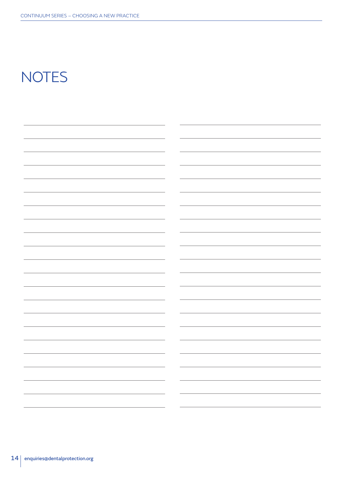## **NOTES**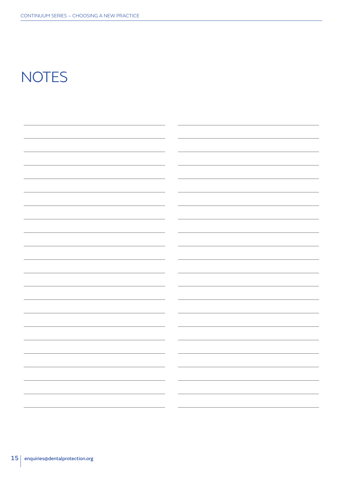## **NOTES**